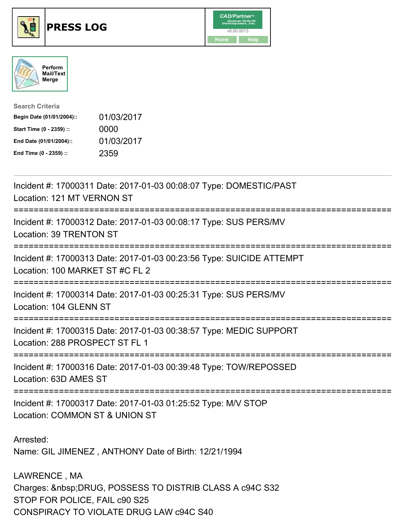

## **PRESS LOG** v8.00.0013





| <b>Search Criteria</b>    |            |
|---------------------------|------------|
| Begin Date (01/01/2004):: | 01/03/2017 |
| Start Time (0 - 2359) ::  | 0000       |
| End Date (01/01/2004)::   | 01/03/2017 |
| End Time (0 - 2359) ::    | 2359       |

Incident #: 17000311 Date: 2017-01-03 00:08:07 Type: DOMESTIC/PAST Location: 121 MT VERNON ST =========================================================================== Incident #: 17000312 Date: 2017-01-03 00:08:17 Type: SUS PERS/MV Location: 39 TRENTON ST =========================================================================== Incident #: 17000313 Date: 2017-01-03 00:23:56 Type: SUICIDE ATTEMPT Location: 100 MARKET ST #C FL 2 =========================================================================== Incident #: 17000314 Date: 2017-01-03 00:25:31 Type: SUS PERS/MV Location: 104 GLENN ST =========================================================================== Incident #: 17000315 Date: 2017-01-03 00:38:57 Type: MEDIC SUPPORT Location: 288 PROSPECT ST FL 1 =========================================================================== Incident #: 17000316 Date: 2017-01-03 00:39:48 Type: TOW/REPOSSED Location: 63D AMES ST =========================================================================== Incident #: 17000317 Date: 2017-01-03 01:25:52 Type: M/V STOP Location: COMMON ST & UNION ST Arrested: Name: GIL JIMENEZ , ANTHONY Date of Birth: 12/21/1994 LAWRENCE , MA Charges: DRUG, POSSESS TO DISTRIB CLASS A c94C S32 STOP FOR POLICE, FAIL c90 S25

CONSPIRACY TO VIOLATE DRUG LAW c94C S40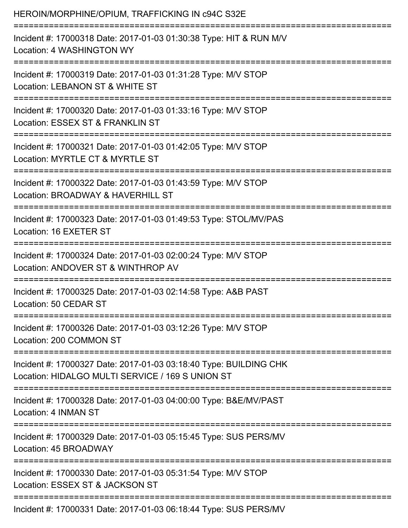| HEROIN/MORPHINE/OPIUM, TRAFFICKING IN c94C S32E                                                                                                                             |
|-----------------------------------------------------------------------------------------------------------------------------------------------------------------------------|
| Incident #: 17000318 Date: 2017-01-03 01:30:38 Type: HIT & RUN M/V<br>Location: 4 WASHINGTON WY<br>:============================                                            |
| Incident #: 17000319 Date: 2017-01-03 01:31:28 Type: M/V STOP<br>Location: LEBANON ST & WHITE ST                                                                            |
| Incident #: 17000320 Date: 2017-01-03 01:33:16 Type: M/V STOP<br>Location: ESSEX ST & FRANKLIN ST<br>====================================<br>:============================= |
| Incident #: 17000321 Date: 2017-01-03 01:42:05 Type: M/V STOP<br>Location: MYRTLE CT & MYRTLE ST                                                                            |
| Incident #: 17000322 Date: 2017-01-03 01:43:59 Type: M/V STOP<br>Location: BROADWAY & HAVERHILL ST                                                                          |
| Incident #: 17000323 Date: 2017-01-03 01:49:53 Type: STOL/MV/PAS<br>Location: 16 EXETER ST                                                                                  |
| Incident #: 17000324 Date: 2017-01-03 02:00:24 Type: M/V STOP<br>Location: ANDOVER ST & WINTHROP AV                                                                         |
| Incident #: 17000325 Date: 2017-01-03 02:14:58 Type: A&B PAST<br>Location: 50 CEDAR ST<br>-----------------------                                                           |
| Incident #: 17000326 Date: 2017-01-03 03:12:26 Type: M/V STOP<br>Location: 200 COMMON ST                                                                                    |
| Incident #: 17000327 Date: 2017-01-03 03:18:40 Type: BUILDING CHK<br>Location: HIDALGO MULTI SERVICE / 169 S UNION ST                                                       |
| Incident #: 17000328 Date: 2017-01-03 04:00:00 Type: B&E/MV/PAST<br>Location: 4 INMAN ST                                                                                    |
| =======================<br>Incident #: 17000329 Date: 2017-01-03 05:15:45 Type: SUS PERS/MV<br>Location: 45 BROADWAY                                                        |
| Incident #: 17000330 Date: 2017-01-03 05:31:54 Type: M/V STOP<br>Location: ESSEX ST & JACKSON ST                                                                            |
| Incident #: 17000331 Date: 2017-01-03 06:18:44 Type: SUS PERS/MV                                                                                                            |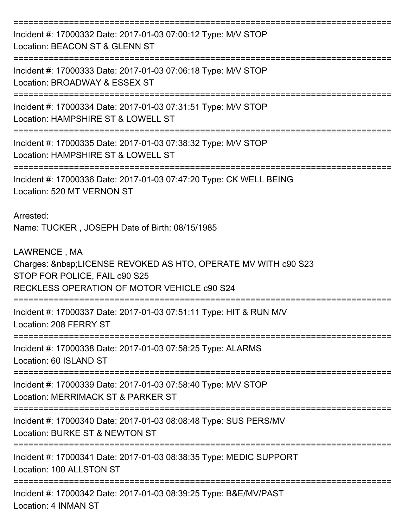=========================================================================== Incident #: 17000332 Date: 2017-01-03 07:00:12 Type: M/V STOP Location: BEACON ST & GLENN ST =========================================================================== Incident #: 17000333 Date: 2017-01-03 07:06:18 Type: M/V STOP Location: BROADWAY & ESSEX ST =========================================================================== Incident #: 17000334 Date: 2017-01-03 07:31:51 Type: M/V STOP Location: HAMPSHIRE ST & LOWELL ST =========================================================================== Incident #: 17000335 Date: 2017-01-03 07:38:32 Type: M/V STOP Location: HAMPSHIRE ST & LOWELL ST =========================================================================== Incident #: 17000336 Date: 2017-01-03 07:47:20 Type: CK WELL BEING Location: 520 MT VERNON ST Arrested: Name: TUCKER , JOSEPH Date of Birth: 08/15/1985 LAWRENCE , MA Charges: LICENSE REVOKED AS HTO, OPERATE MV WITH c90 S23 STOP FOR POLICE, FAIL c90 S25 RECKLESS OPERATION OF MOTOR VEHICLE c90 S24 =========================================================================== Incident #: 17000337 Date: 2017-01-03 07:51:11 Type: HIT & RUN M/V Location: 208 FERRY ST =========================================================================== Incident #: 17000338 Date: 2017-01-03 07:58:25 Type: ALARMS Location: 60 ISLAND ST =========================================================================== Incident #: 17000339 Date: 2017-01-03 07:58:40 Type: M/V STOP Location: MERRIMACK ST & PARKER ST =========================================================================== Incident #: 17000340 Date: 2017-01-03 08:08:48 Type: SUS PERS/MV Location: BURKE ST & NEWTON ST =========================================================================== Incident #: 17000341 Date: 2017-01-03 08:38:35 Type: MEDIC SUPPORT Location: 100 ALLSTON ST =========================================================================== Incident #: 17000342 Date: 2017-01-03 08:39:25 Type: B&E/MV/PAST Location: 4 INMAN ST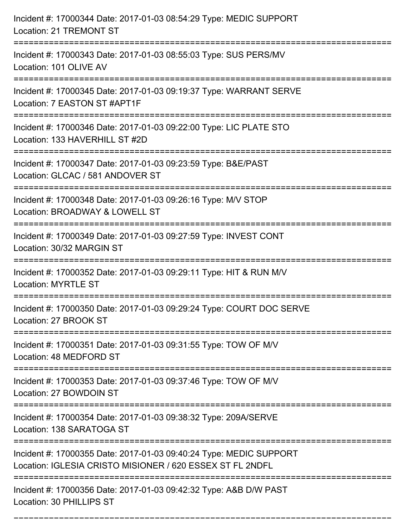| Incident #: 17000344 Date: 2017-01-03 08:54:29 Type: MEDIC SUPPORT<br>Location: 21 TREMONT ST                                                                        |
|----------------------------------------------------------------------------------------------------------------------------------------------------------------------|
| Incident #: 17000343 Date: 2017-01-03 08:55:03 Type: SUS PERS/MV<br>Location: 101 OLIVE AV                                                                           |
| Incident #: 17000345 Date: 2017-01-03 09:19:37 Type: WARRANT SERVE<br>Location: 7 EASTON ST #APT1F<br>===================================                            |
| Incident #: 17000346 Date: 2017-01-03 09:22:00 Type: LIC PLATE STO<br>Location: 133 HAVERHILL ST #2D                                                                 |
| Incident #: 17000347 Date: 2017-01-03 09:23:59 Type: B&E/PAST<br>Location: GLCAC / 581 ANDOVER ST<br>------------------                                              |
| Incident #: 17000348 Date: 2017-01-03 09:26:16 Type: M/V STOP<br>Location: BROADWAY & LOWELL ST<br>:========================<br>==================================== |
| Incident #: 17000349 Date: 2017-01-03 09:27:59 Type: INVEST CONT<br>Location: 30/32 MARGIN ST                                                                        |
| Incident #: 17000352 Date: 2017-01-03 09:29:11 Type: HIT & RUN M/V<br><b>Location: MYRTLE ST</b>                                                                     |
| Incident #: 17000350 Date: 2017-01-03 09:29:24 Type: COURT DOC SERVE<br>Location: 27 BROOK ST                                                                        |
| Incident #: 17000351 Date: 2017-01-03 09:31:55 Type: TOW OF M/V<br>Location: 48 MEDFORD ST                                                                           |
| Incident #: 17000353 Date: 2017-01-03 09:37:46 Type: TOW OF M/V<br>Location: 27 BOWDOIN ST                                                                           |
| Incident #: 17000354 Date: 2017-01-03 09:38:32 Type: 209A/SERVE<br>Location: 138 SARATOGA ST                                                                         |
| Incident #: 17000355 Date: 2017-01-03 09:40:24 Type: MEDIC SUPPORT<br>Location: IGLESIA CRISTO MISIONER / 620 ESSEX ST FL 2NDFL                                      |
| Incident #: 17000356 Date: 2017-01-03 09:42:32 Type: A&B D/W PAST<br>Location: 30 PHILLIPS ST                                                                        |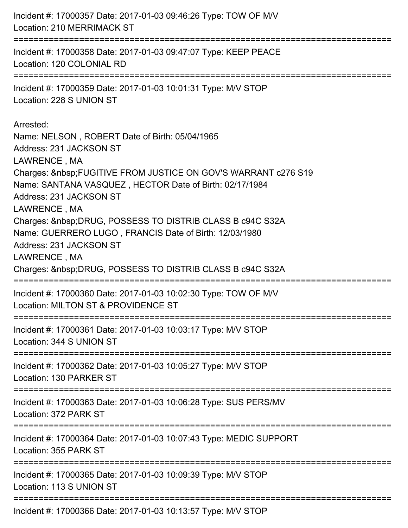| Incident #: 17000357 Date: 2017-01-03 09:46:26 Type: TOW OF M/V<br>Location: 210 MERRIMACK ST                                                                                                                                                                                                                                                                                                                                                                                                                                        |
|--------------------------------------------------------------------------------------------------------------------------------------------------------------------------------------------------------------------------------------------------------------------------------------------------------------------------------------------------------------------------------------------------------------------------------------------------------------------------------------------------------------------------------------|
| Incident #: 17000358 Date: 2017-01-03 09:47:07 Type: KEEP PEACE<br>Location: 120 COLONIAL RD<br>==============================<br>======================================                                                                                                                                                                                                                                                                                                                                                             |
| Incident #: 17000359 Date: 2017-01-03 10:01:31 Type: M/V STOP<br>Location: 228 S UNION ST                                                                                                                                                                                                                                                                                                                                                                                                                                            |
| Arrested:<br>Name: NELSON, ROBERT Date of Birth: 05/04/1965<br>Address: 231 JACKSON ST<br>LAWRENCE, MA<br>Charges:  FUGITIVE FROM JUSTICE ON GOV'S WARRANT c276 S19<br>Name: SANTANA VASQUEZ, HECTOR Date of Birth: 02/17/1984<br>Address: 231 JACKSON ST<br>LAWRENCE, MA<br>Charges:  DRUG, POSSESS TO DISTRIB CLASS B c94C S32A<br>Name: GUERRERO LUGO, FRANCIS Date of Birth: 12/03/1980<br>Address: 231 JACKSON ST<br>LAWRENCE, MA<br>Charges:  DRUG, POSSESS TO DISTRIB CLASS B c94C S32A<br>---------------------------------- |
| Incident #: 17000360 Date: 2017-01-03 10:02:30 Type: TOW OF M/V<br>Location: MILTON ST & PROVIDENCE ST                                                                                                                                                                                                                                                                                                                                                                                                                               |
| Incident #: 17000361 Date: 2017-01-03 10:03:17 Type: M/V STOP<br>Location: 344 S UNION ST                                                                                                                                                                                                                                                                                                                                                                                                                                            |
| Incident #: 17000362 Date: 2017-01-03 10:05:27 Type: M/V STOP<br>Location: 130 PARKER ST                                                                                                                                                                                                                                                                                                                                                                                                                                             |
| Incident #: 17000363 Date: 2017-01-03 10:06:28 Type: SUS PERS/MV<br>Location: 372 PARK ST                                                                                                                                                                                                                                                                                                                                                                                                                                            |
| Incident #: 17000364 Date: 2017-01-03 10:07:43 Type: MEDIC SUPPORT<br>Location: 355 PARK ST                                                                                                                                                                                                                                                                                                                                                                                                                                          |
| Incident #: 17000365 Date: 2017-01-03 10:09:39 Type: M/V STOP<br>Location: 113 S UNION ST                                                                                                                                                                                                                                                                                                                                                                                                                                            |
| Incident #: 17000366 Date: 2017 01 03 10:13:57 Type: MAI STOD                                                                                                                                                                                                                                                                                                                                                                                                                                                                        |

Incident #: 17000366 Date: 2017-01-03 10:13:57 Type: M/V STOP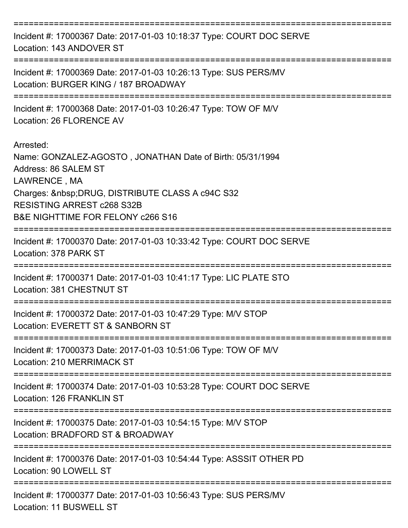| Incident #: 17000367 Date: 2017-01-03 10:18:37 Type: COURT DOC SERVE<br>Location: 143 ANDOVER ST                                                                                                                                                   |
|----------------------------------------------------------------------------------------------------------------------------------------------------------------------------------------------------------------------------------------------------|
| Incident #: 17000369 Date: 2017-01-03 10:26:13 Type: SUS PERS/MV<br>Location: BURGER KING / 187 BROADWAY                                                                                                                                           |
| Incident #: 17000368 Date: 2017-01-03 10:26:47 Type: TOW OF M/V<br>Location: 26 FLORENCE AV                                                                                                                                                        |
| Arrested:<br>Name: GONZALEZ-AGOSTO, JONATHAN Date of Birth: 05/31/1994<br>Address: 86 SALEM ST<br>LAWRENCE, MA<br>Charges:  DRUG, DISTRIBUTE CLASS A c94C S32<br><b>RESISTING ARREST c268 S32B</b><br><b>B&amp;E NIGHTTIME FOR FELONY c266 S16</b> |
| Incident #: 17000370 Date: 2017-01-03 10:33:42 Type: COURT DOC SERVE<br>Location: 378 PARK ST                                                                                                                                                      |
| Incident #: 17000371 Date: 2017-01-03 10:41:17 Type: LIC PLATE STO<br>Location: 381 CHESTNUT ST                                                                                                                                                    |
| Incident #: 17000372 Date: 2017-01-03 10:47:29 Type: M/V STOP<br>Location: EVERETT ST & SANBORN ST                                                                                                                                                 |
| Incident #: 17000373 Date: 2017-01-03 10:51:06 Type: TOW OF M/V<br>Location: 210 MERRIMACK ST                                                                                                                                                      |
| =================<br>Incident #: 17000374 Date: 2017-01-03 10:53:28 Type: COURT DOC SERVE<br>Location: 126 FRANKLIN ST                                                                                                                             |
| Incident #: 17000375 Date: 2017-01-03 10:54:15 Type: M/V STOP<br>Location: BRADFORD ST & BROADWAY                                                                                                                                                  |
| Incident #: 17000376 Date: 2017-01-03 10:54:44 Type: ASSSIT OTHER PD<br>Location: 90 LOWELL ST                                                                                                                                                     |
| Incident #: 17000377 Date: 2017-01-03 10:56:43 Type: SUS PERS/MV<br>Location: 11 BUSWELL ST                                                                                                                                                        |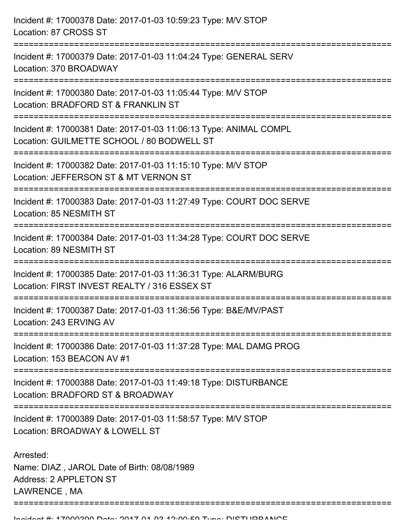| Incident #: 17000378 Date: 2017-01-03 10:59:23 Type: M/V STOP<br>Location: 87 CROSS ST                                                                   |
|----------------------------------------------------------------------------------------------------------------------------------------------------------|
| Incident #: 17000379 Date: 2017-01-03 11:04:24 Type: GENERAL SERV<br>Location: 370 BROADWAY                                                              |
| Incident #: 17000380 Date: 2017-01-03 11:05:44 Type: M/V STOP<br>Location: BRADFORD ST & FRANKLIN ST<br>:=======================                         |
| Incident #: 17000381 Date: 2017-01-03 11:06:13 Type: ANIMAL COMPL<br>Location: GUILMETTE SCHOOL / 80 BODWELL ST                                          |
| Incident #: 17000382 Date: 2017-01-03 11:15:10 Type: M/V STOP<br>Location: JEFFERSON ST & MT VERNON ST                                                   |
| Incident #: 17000383 Date: 2017-01-03 11:27:49 Type: COURT DOC SERVE<br>Location: 85 NESMITH ST                                                          |
| Incident #: 17000384 Date: 2017-01-03 11:34:28 Type: COURT DOC SERVE<br>Location: 89 NESMITH ST<br>=============================<br>==================== |
| Incident #: 17000385 Date: 2017-01-03 11:36:31 Type: ALARM/BURG<br>Location: FIRST INVEST REALTY / 316 ESSEX ST                                          |
| Incident #: 17000387 Date: 2017-01-03 11:36:56 Type: B&E/MV/PAST<br>Location: 243 ERVING AV                                                              |
| Incident #: 17000386 Date: 2017-01-03 11:37:28 Type: MAL DAMG PROG<br>Location: 153 BEACON AV #1                                                         |
| Incident #: 17000388 Date: 2017-01-03 11:49:18 Type: DISTURBANCE<br>Location: BRADFORD ST & BROADWAY                                                     |
| Incident #: 17000389 Date: 2017-01-03 11:58:57 Type: M/V STOP<br>Location: BROADWAY & LOWELL ST                                                          |
| Arrested:<br>Name: DIAZ, JAROL Date of Birth: 08/08/1989<br>Address: 2 APPLETON ST<br>LAWRENCE, MA                                                       |

===========================================================================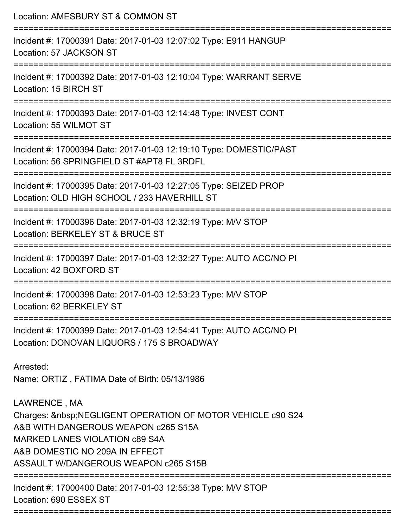| Location: AMESBURY ST & COMMON ST<br>===========================                                                                                                                                                                  |
|-----------------------------------------------------------------------------------------------------------------------------------------------------------------------------------------------------------------------------------|
| Incident #: 17000391 Date: 2017-01-03 12:07:02 Type: E911 HANGUP<br>Location: 57 JACKSON ST                                                                                                                                       |
| Incident #: 17000392 Date: 2017-01-03 12:10:04 Type: WARRANT SERVE<br>Location: 15 BIRCH ST<br>=================================                                                                                                  |
| Incident #: 17000393 Date: 2017-01-03 12:14:48 Type: INVEST CONT<br>Location: 55 WILMOT ST                                                                                                                                        |
| Incident #: 17000394 Date: 2017-01-03 12:19:10 Type: DOMESTIC/PAST<br>Location: 56 SPRINGFIELD ST #APT8 FL 3RDFL                                                                                                                  |
| Incident #: 17000395 Date: 2017-01-03 12:27:05 Type: SEIZED PROP<br>Location: OLD HIGH SCHOOL / 233 HAVERHILL ST<br>===============================                                                                               |
| Incident #: 17000396 Date: 2017-01-03 12:32:19 Type: M/V STOP<br>Location: BERKELEY ST & BRUCE ST                                                                                                                                 |
| Incident #: 17000397 Date: 2017-01-03 12:32:27 Type: AUTO ACC/NO PI<br>Location: 42 BOXFORD ST                                                                                                                                    |
| Incident #: 17000398 Date: 2017-01-03 12:53:23 Type: M/V STOP<br>Location: 62 BERKELEY ST                                                                                                                                         |
| Incident #: 17000399 Date: 2017-01-03 12:54:41 Type: AUTO ACC/NO PI<br>Location: DONOVAN LIQUORS / 175 S BROADWAY                                                                                                                 |
| Arrested:<br>Name: ORTIZ, FATIMA Date of Birth: 05/13/1986                                                                                                                                                                        |
| LAWRENCE, MA<br>Charges:   NEGLIGENT OPERATION OF MOTOR VEHICLE c90 S24<br>A&B WITH DANGEROUS WEAPON c265 S15A<br><b>MARKED LANES VIOLATION C89 S4A</b><br>A&B DOMESTIC NO 209A IN EFFECT<br>ASSAULT W/DANGEROUS WEAPON c265 S15B |
| Incident #: 17000400 Date: 2017-01-03 12:55:38 Type: M/V STOP<br>Location: 690 ESSEX ST                                                                                                                                           |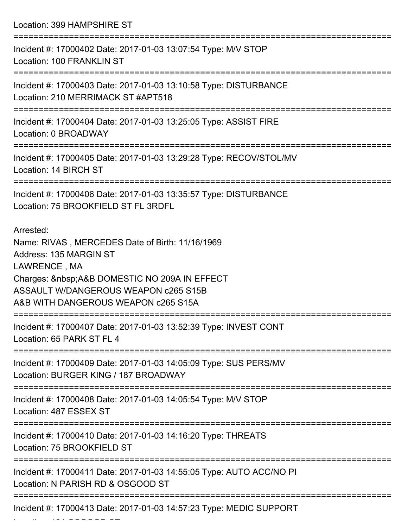Location: 399 HAMPSHIRE ST

| Incident #: 17000402 Date: 2017-01-03 13:07:54 Type: M/V STOP<br><b>Location: 100 FRANKLIN ST</b>                                                                                                                                        |
|------------------------------------------------------------------------------------------------------------------------------------------------------------------------------------------------------------------------------------------|
| Incident #: 17000403 Date: 2017-01-03 13:10:58 Type: DISTURBANCE<br>Location: 210 MERRIMACK ST #APT518                                                                                                                                   |
| Incident #: 17000404 Date: 2017-01-03 13:25:05 Type: ASSIST FIRE<br>Location: 0 BROADWAY                                                                                                                                                 |
| Incident #: 17000405 Date: 2017-01-03 13:29:28 Type: RECOV/STOL/MV<br>Location: 14 BIRCH ST                                                                                                                                              |
| Incident #: 17000406 Date: 2017-01-03 13:35:57 Type: DISTURBANCE<br>Location: 75 BROOKFIELD ST FL 3RDFL                                                                                                                                  |
| Arrested:<br>Name: RIVAS, MERCEDES Date of Birth: 11/16/1969<br>Address: 135 MARGIN ST<br>LAWRENCE, MA<br>Charges:  A&B DOMESTIC NO 209A IN EFFECT<br><b>ASSAULT W/DANGEROUS WEAPON c265 S15B</b><br>A&B WITH DANGEROUS WEAPON c265 S15A |
| Incident #: 17000407 Date: 2017-01-03 13:52:39 Type: INVEST CONT<br>Location: 65 PARK ST FL 4                                                                                                                                            |
| Incident #: 17000409 Date: 2017-01-03 14:05:09 Type: SUS PERS/MV<br>Location: BURGER KING / 187 BROADWAY                                                                                                                                 |
| Incident #: 17000408 Date: 2017-01-03 14:05:54 Type: M/V STOP<br>Location: 487 ESSEX ST                                                                                                                                                  |
| Incident #: 17000410 Date: 2017-01-03 14:16:20 Type: THREATS<br>Location: 75 BROOKFIELD ST                                                                                                                                               |
| Incident #: 17000411 Date: 2017-01-03 14:55:05 Type: AUTO ACC/NO PI<br>Location: N PARISH RD & OSGOOD ST                                                                                                                                 |
| Incident #: 17000413 Date: 2017-01-03 14:57:23 Type: MEDIC SUPPORT                                                                                                                                                                       |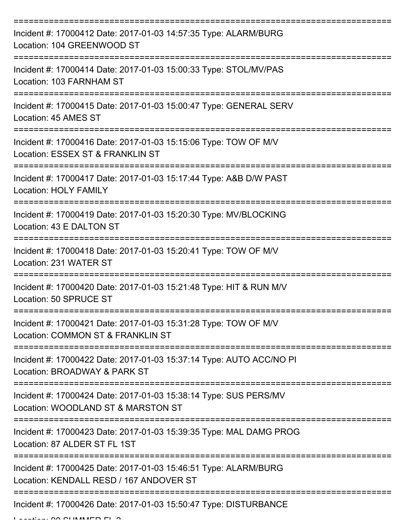| Incident #: 17000412 Date: 2017-01-03 14:57:35 Type: ALARM/BURG<br>Location: 104 GREENWOOD ST              |
|------------------------------------------------------------------------------------------------------------|
| Incident #: 17000414 Date: 2017-01-03 15:00:33 Type: STOL/MV/PAS<br>Location: 103 FARNHAM ST               |
| Incident #: 17000415 Date: 2017-01-03 15:00:47 Type: GENERAL SERV<br>Location: 45 AMES ST                  |
| Incident #: 17000416 Date: 2017-01-03 15:15:06 Type: TOW OF M/V<br>Location: ESSEX ST & FRANKLIN ST        |
| Incident #: 17000417 Date: 2017-01-03 15:17:44 Type: A&B D/W PAST<br><b>Location: HOLY FAMILY</b>          |
| Incident #: 17000419 Date: 2017-01-03 15:20:30 Type: MV/BLOCKING<br>Location: 43 E DALTON ST               |
| Incident #: 17000418 Date: 2017-01-03 15:20:41 Type: TOW OF M/V<br>Location: 231 WATER ST                  |
| Incident #: 17000420 Date: 2017-01-03 15:21:48 Type: HIT & RUN M/V<br>Location: 50 SPRUCE ST               |
| Incident #: 17000421 Date: 2017-01-03 15:31:28 Type: TOW OF M/V<br>Location: COMMON ST & FRANKLIN ST       |
| Incident #: 17000422 Date: 2017-01-03 15:37:14 Type: AUTO ACC/NO PI<br>Location: BROADWAY & PARK ST        |
| Incident #: 17000424 Date: 2017-01-03 15:38:14 Type: SUS PERS/MV<br>Location: WOODLAND ST & MARSTON ST     |
| Incident #: 17000423 Date: 2017-01-03 15:39:35 Type: MAL DAMG PROG<br>Location: 87 ALDER ST FL 1ST         |
| Incident #: 17000425 Date: 2017-01-03 15:46:51 Type: ALARM/BURG<br>Location: KENDALL RESD / 167 ANDOVER ST |
| Incident #: 17000426 Date: 2017-01-03 15:50:47 Type: DISTURBANCE                                           |

 $L = L = L$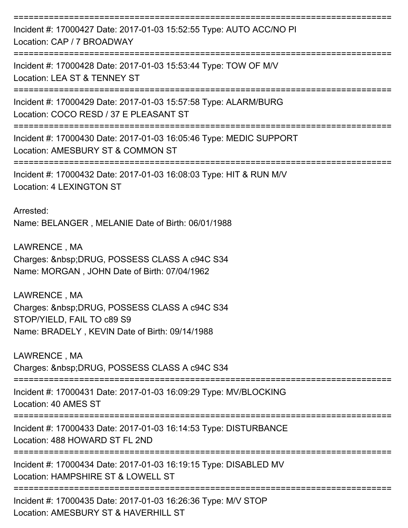| Incident #: 17000427 Date: 2017-01-03 15:52:55 Type: AUTO ACC/NO PI<br>Location: CAP / 7 BROADWAY                                        |
|------------------------------------------------------------------------------------------------------------------------------------------|
| Incident #: 17000428 Date: 2017-01-03 15:53:44 Type: TOW OF M/V<br>Location: LEA ST & TENNEY ST                                          |
| Incident #: 17000429 Date: 2017-01-03 15:57:58 Type: ALARM/BURG<br>Location: COCO RESD / 37 E PLEASANT ST                                |
| Incident #: 17000430 Date: 2017-01-03 16:05:46 Type: MEDIC SUPPORT<br>Location: AMESBURY ST & COMMON ST                                  |
| Incident #: 17000432 Date: 2017-01-03 16:08:03 Type: HIT & RUN M/V<br><b>Location: 4 LEXINGTON ST</b>                                    |
| Arrested:<br>Name: BELANGER, MELANIE Date of Birth: 06/01/1988                                                                           |
| LAWRENCE, MA<br>Charges:  DRUG, POSSESS CLASS A c94C S34<br>Name: MORGAN, JOHN Date of Birth: 07/04/1962                                 |
| LAWRENCE, MA<br>Charges:  DRUG, POSSESS CLASS A c94C S34<br>STOP/YIELD, FAIL TO c89 S9<br>Name: BRADELY, KEVIN Date of Birth: 09/14/1988 |
| LAWRENCE, MA<br>Charges:  DRUG, POSSESS CLASS A c94C S34                                                                                 |
| Incident #: 17000431 Date: 2017-01-03 16:09:29 Type: MV/BLOCKING<br>Location: 40 AMES ST                                                 |
| Incident #: 17000433 Date: 2017-01-03 16:14:53 Type: DISTURBANCE<br>Location: 488 HOWARD ST FL 2ND                                       |
| Incident #: 17000434 Date: 2017-01-03 16:19:15 Type: DISABLED MV<br>Location: HAMPSHIRE ST & LOWELL ST                                   |
| Incident #: 17000435 Date: 2017-01-03 16:26:36 Type: M/V STOP<br>Location: AMESBURY ST & HAVERHILL ST                                    |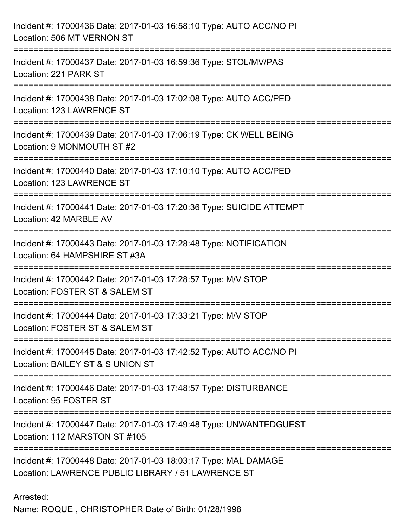| Incident #: 17000436 Date: 2017-01-03 16:58:10 Type: AUTO ACC/NO PI<br>Location: 506 MT VERNON ST<br>============     |
|-----------------------------------------------------------------------------------------------------------------------|
| Incident #: 17000437 Date: 2017-01-03 16:59:36 Type: STOL/MV/PAS<br>Location: 221 PARK ST                             |
| Incident #: 17000438 Date: 2017-01-03 17:02:08 Type: AUTO ACC/PED<br>Location: 123 LAWRENCE ST                        |
| Incident #: 17000439 Date: 2017-01-03 17:06:19 Type: CK WELL BEING<br>Location: 9 MONMOUTH ST #2                      |
| Incident #: 17000440 Date: 2017-01-03 17:10:10 Type: AUTO ACC/PED<br>Location: 123 LAWRENCE ST                        |
| Incident #: 17000441 Date: 2017-01-03 17:20:36 Type: SUICIDE ATTEMPT<br>Location: 42 MARBLE AV                        |
| Incident #: 17000443 Date: 2017-01-03 17:28:48 Type: NOTIFICATION<br>Location: 64 HAMPSHIRE ST #3A                    |
| Incident #: 17000442 Date: 2017-01-03 17:28:57 Type: M/V STOP<br>Location: FOSTER ST & SALEM ST                       |
| Incident #: 17000444 Date: 2017-01-03 17:33:21 Type: M/V STOP<br>Location: FOSTER ST & SALEM ST                       |
| Incident #: 17000445 Date: 2017-01-03 17:42:52 Type: AUTO ACC/NO PI<br>Location: BAILEY ST & S UNION ST               |
| Incident #: 17000446 Date: 2017-01-03 17:48:57 Type: DISTURBANCE<br>Location: 95 FOSTER ST                            |
| Incident #: 17000447 Date: 2017-01-03 17:49:48 Type: UNWANTEDGUEST<br>Location: 112 MARSTON ST #105                   |
| Incident #: 17000448 Date: 2017-01-03 18:03:17 Type: MAL DAMAGE<br>Location: LAWRENCE PUBLIC LIBRARY / 51 LAWRENCE ST |

## Arrested:

Name: ROQUE , CHRISTOPHER Date of Birth: 01/28/1998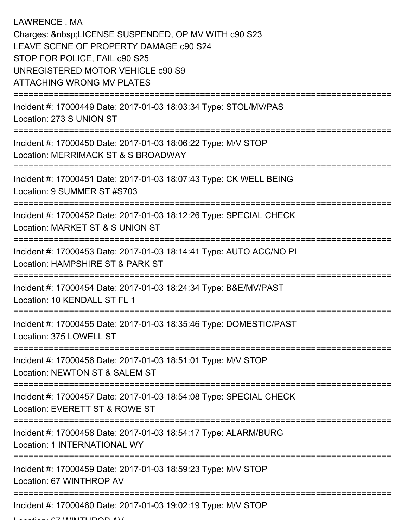LAWRENCE , MA Charges: LICENSE SUSPENDED, OP MV WITH c90 S23 LEAVE SCENE OF PROPERTY DAMAGE c90 S24 STOP FOR POLICE, FAIL c90 S25 UNREGISTERED MOTOR VEHICLE c90 S9 ATTACHING WRONG MV PLATES =========================================================================== Incident #: 17000449 Date: 2017-01-03 18:03:34 Type: STOL/MV/PAS Location: 273 S UNION ST =========================================================================== Incident #: 17000450 Date: 2017-01-03 18:06:22 Type: M/V STOP Location: MERRIMACK ST & S BROADWAY =========================================================================== Incident #: 17000451 Date: 2017-01-03 18:07:43 Type: CK WELL BEING Location: 9 SUMMER ST #S703 =========================================================================== Incident #: 17000452 Date: 2017-01-03 18:12:26 Type: SPECIAL CHECK Location: MARKET ST & S UNION ST =========================================================================== Incident #: 17000453 Date: 2017-01-03 18:14:41 Type: AUTO ACC/NO PI Location: HAMPSHIRE ST & PARK ST =========================================================================== Incident #: 17000454 Date: 2017-01-03 18:24:34 Type: B&E/MV/PAST Location: 10 KENDALL ST FL 1 =========================================================================== Incident #: 17000455 Date: 2017-01-03 18:35:46 Type: DOMESTIC/PAST Location: 375 LOWELL ST =========================================================================== Incident #: 17000456 Date: 2017-01-03 18:51:01 Type: M/V STOP Location: NEWTON ST & SALEM ST =========================================================================== Incident #: 17000457 Date: 2017-01-03 18:54:08 Type: SPECIAL CHECK Location: EVERETT ST & ROWE ST =========================================================================== Incident #: 17000458 Date: 2017-01-03 18:54:17 Type: ALARM/BURG Location: 1 INTERNATIONAL WY =========================================================================== Incident #: 17000459 Date: 2017-01-03 18:59:23 Type: M/V STOP Location: 67 WINTHROP AV =========================================================================== Incident #: 17000460 Date: 2017-01-03 19:02:19 Type: M/V STOP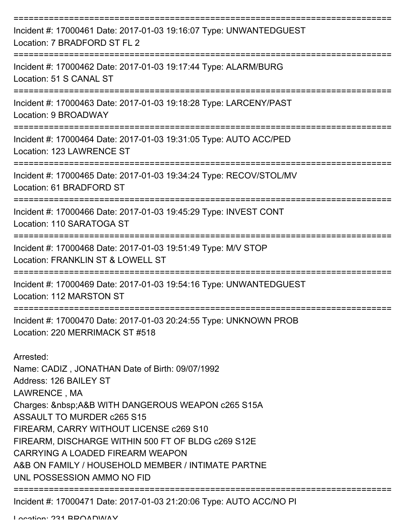| Incident #: 17000461 Date: 2017-01-03 19:16:07 Type: UNWANTEDGUEST<br>Location: 7 BRADFORD ST FL 2                                                                                                                                                                                                                                                                                                                           |
|------------------------------------------------------------------------------------------------------------------------------------------------------------------------------------------------------------------------------------------------------------------------------------------------------------------------------------------------------------------------------------------------------------------------------|
| Incident #: 17000462 Date: 2017-01-03 19:17:44 Type: ALARM/BURG<br>Location: 51 S CANAL ST                                                                                                                                                                                                                                                                                                                                   |
| Incident #: 17000463 Date: 2017-01-03 19:18:28 Type: LARCENY/PAST<br>Location: 9 BROADWAY                                                                                                                                                                                                                                                                                                                                    |
| Incident #: 17000464 Date: 2017-01-03 19:31:05 Type: AUTO ACC/PED<br>Location: 123 LAWRENCE ST                                                                                                                                                                                                                                                                                                                               |
| Incident #: 17000465 Date: 2017-01-03 19:34:24 Type: RECOV/STOL/MV<br>Location: 61 BRADFORD ST                                                                                                                                                                                                                                                                                                                               |
| Incident #: 17000466 Date: 2017-01-03 19:45:29 Type: INVEST CONT<br>Location: 110 SARATOGA ST                                                                                                                                                                                                                                                                                                                                |
| Incident #: 17000468 Date: 2017-01-03 19:51:49 Type: M/V STOP<br>Location: FRANKLIN ST & LOWELL ST                                                                                                                                                                                                                                                                                                                           |
| Incident #: 17000469 Date: 2017-01-03 19:54:16 Type: UNWANTEDGUEST<br>Location: 112 MARSTON ST                                                                                                                                                                                                                                                                                                                               |
| Incident #: 17000470 Date: 2017-01-03 20:24:55 Type: UNKNOWN PROB<br>Location: 220 MERRIMACK ST #518                                                                                                                                                                                                                                                                                                                         |
| Arrested:<br>Name: CADIZ, JONATHAN Date of Birth: 09/07/1992<br>Address: 126 BAILEY ST<br>LAWRENCE, MA<br>Charges: & nbsp; A&B WITH DANGEROUS WEAPON c265 S15A<br><b>ASSAULT TO MURDER c265 S15</b><br>FIREARM, CARRY WITHOUT LICENSE c269 S10<br>FIREARM, DISCHARGE WITHIN 500 FT OF BLDG c269 S12E<br>CARRYING A LOADED FIREARM WEAPON<br>A&B ON FAMILY / HOUSEHOLD MEMBER / INTIMATE PARTNE<br>UNL POSSESSION AMMO NO FID |
| Incident #: 17000471 Date: 2017-01-03 21:20:06 Type: AUTO ACC/NO PI                                                                                                                                                                                                                                                                                                                                                          |

Location: 231 BROADWAY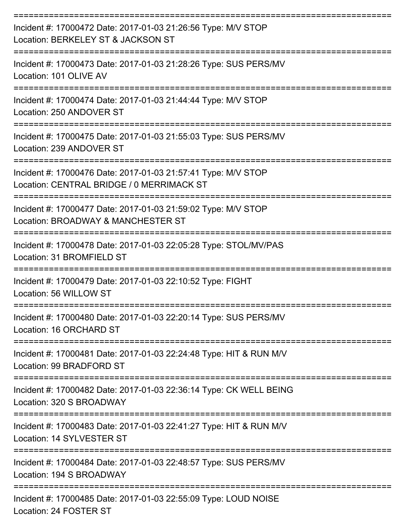| Incident #: 17000472 Date: 2017-01-03 21:26:56 Type: M/V STOP<br>Location: BERKELEY ST & JACKSON ST        |
|------------------------------------------------------------------------------------------------------------|
| Incident #: 17000473 Date: 2017-01-03 21:28:26 Type: SUS PERS/MV<br>Location: 101 OLIVE AV                 |
| Incident #: 17000474 Date: 2017-01-03 21:44:44 Type: M/V STOP<br>Location: 250 ANDOVER ST                  |
| Incident #: 17000475 Date: 2017-01-03 21:55:03 Type: SUS PERS/MV<br>Location: 239 ANDOVER ST               |
| Incident #: 17000476 Date: 2017-01-03 21:57:41 Type: M/V STOP<br>Location: CENTRAL BRIDGE / 0 MERRIMACK ST |
| Incident #: 17000477 Date: 2017-01-03 21:59:02 Type: M/V STOP<br>Location: BROADWAY & MANCHESTER ST        |
| Incident #: 17000478 Date: 2017-01-03 22:05:28 Type: STOL/MV/PAS<br>Location: 31 BROMFIELD ST              |
| Incident #: 17000479 Date: 2017-01-03 22:10:52 Type: FIGHT<br>Location: 56 WILLOW ST                       |
| Incident #: 17000480 Date: 2017-01-03 22:20:14 Type: SUS PERS/MV<br>Location: 16 ORCHARD ST                |
| Incident #: 17000481 Date: 2017-01-03 22:24:48 Type: HIT & RUN M/V<br>Location: 99 BRADFORD ST             |
| Incident #: 17000482 Date: 2017-01-03 22:36:14 Type: CK WELL BEING<br>Location: 320 S BROADWAY             |
| Incident #: 17000483 Date: 2017-01-03 22:41:27 Type: HIT & RUN M/V<br>Location: 14 SYLVESTER ST            |
| Incident #: 17000484 Date: 2017-01-03 22:48:57 Type: SUS PERS/MV<br>Location: 194 S BROADWAY               |
| Incident #: 17000485 Date: 2017-01-03 22:55:09 Type: LOUD NOISE<br>Location: 24 FOSTER ST                  |